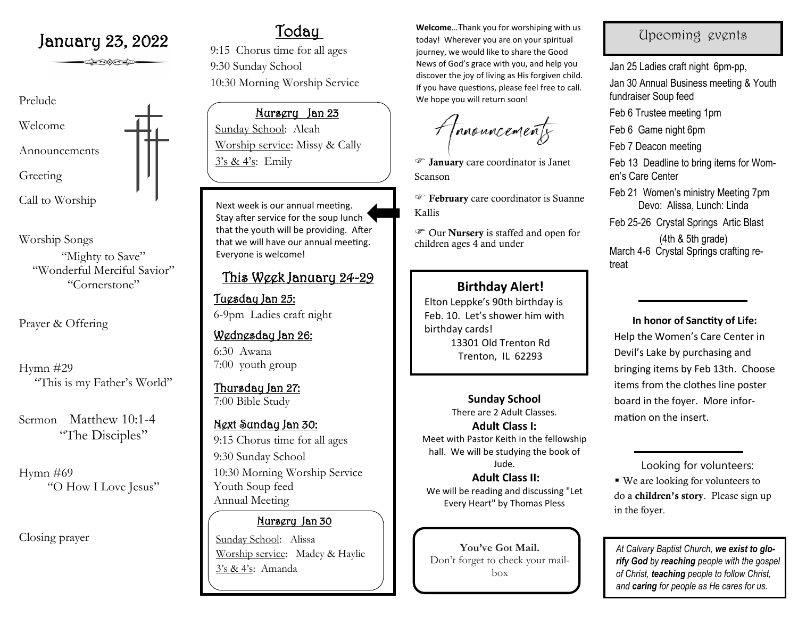# January 23, 2022  $\frac{\text{Today}}{\text{70day}}$

**SHOOTER** 

# Prelude Welcome Announcements Greeting Call to Worship

Worship Songs "Mighty to Save" "Wonderful Merciful Savior" "Cornerstone"

Prayer & Offering

Hymn #29 "This is my Father's World"

Sermon Matthew 10:1-4 "The Disciples"

Hymn #69 "O How I Love Jesus"

Closing prayer

9:15 Chorus time for all ages 9:30 Sunday School 10:30 Morning Worship Service

Nursery Jan 23 Sunday School: Aleah Worship service: Missy & Cally

Next week is our annual meeting. Stay after service for the soup lunch that the youth will be providing. After that we will have our annual meeting. Everyone is welcome!

# This Week January 24-29

Tuesday Jan 25: 6-9pm Ladies craft night

## Wednesday Jan 26: 6:30 Awana

7:00 youth group

Thursday Jan 27: 7:00 Bible Study

# Next Sunday Jan 30:

9:15 Chorus time for all ages 9:30 Sunday School 10:30 Morning Worship Service Youth Soup feed Annual Meeting

## Nursery Jan 30

Sunday School: Alissa Worship service: Madey & Haylie 3's & 4's: Amanda

**Welcome**…Thank you for worshiping with us today! Wherever you are on your spiritual journey, we would like to share the Good News of God's grace with you, and help you discover the joy of living as His forgiven child. If you have questions, please feel free to call. We hope you will return soon!

Amouncements

 $3's \& 4's$ : Emily **Figure 1 January** care coordinator is Janet Scanson

> February care coordinator is Suanne Kallis

 Our Nursery is staffed and open for children ages 4 and under

# **Birthday Alert!**

Elton Leppke's 90th birthday is Feb. 10. Let's shower him with birthday cards! 13301 Old Trenton Rd Trenton, IL 62293

> **Sunday School**  There are 2 Adult Classes.

**Adult Class I:**  Meet with Pastor Keith in the fellowship hall. We will be studying the book of Jude.

**Adult Class II:** We will be reading and discussing "Let Every Heart" by Thomas Pless

**You've Got Mail.**  Don't forget to check your mailbox

# Upcoming events

Jan 25 Ladies craft night 6pm-pp, Jan 30 Annual Business meeting & Youth fundraiser Soup feed Feb 6 Trustee meeting 1pm Feb 6 Game night 6pm Feb 7 Deacon meeting Feb 13 Deadline to bring items for Women's Care Center Feb 21 Women's ministry Meeting 7pm Devo: Alissa, Lunch: Linda Feb 25-26 Crystal Springs Artic Blast (4th & 5th grade) March 4-6 Crystal Springs crafting retreat

**In honor of Sanctity of Life:**  Help the Women's Care Center in Devil's Lake by purchasing and bringing items by Feb 13th. Choose items from the clothes line poster board in the foyer. More information on the insert.

 Looking for volunteers: ■ We are looking for volunteers to do a children's story. Please sign up in the foyer.

*At Calvary Baptist Church, we exist to glorify God by reaching people with the gospel of Christ, teaching people to follow Christ, and caring for people as He cares for us.*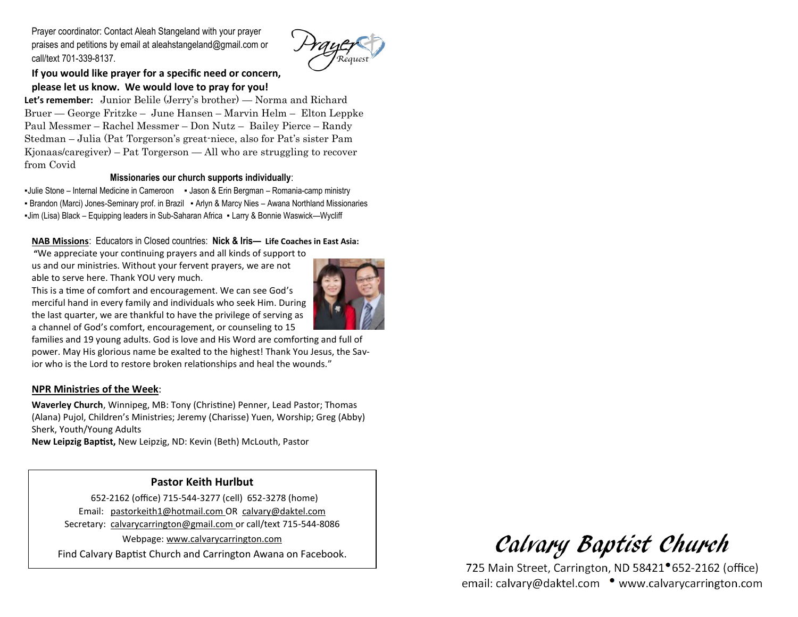Prayer coordinator: Contact Aleah Stangeland with your prayer praises and petitions by email at aleahstangeland@gmail.com or call/text 701-339-8137.



## **If you would like prayer for a specific need or concern, please let us know. We would love to pray for you!**

**Let's remember:** Junior Belile (Jerry's brother) — Norma and Richard Bruer — George Fritzke – June Hansen – Marvin Helm – Elton Leppke Paul Messmer – Rachel Messmer – Don Nutz – Bailey Pierce – Randy Stedman – Julia (Pat Torgerson's great-niece, also for Pat's sister Pam Kjonaas/caregiver) – Pat Torgerson — All who are struggling to recover from Covid

#### **Missionaries our church supports individually**:

▪Julie Stone – Internal Medicine in Cameroon ▪ Jason & Erin Bergman – Romania-camp ministry ▪ Brandon (Marci) Jones-Seminary prof. in Brazil ▪ Arlyn & Marcy Nies – Awana Northland Missionaries ▪Jim (Lisa) Black – Equipping leaders in Sub-Saharan Africa ▪ Larry & Bonnie Waswick—Wycliff

### **NAB Missions**: Educators in Closed countries: **Nick & Iris— Life Coaches in East Asia:**

**"**We appreciate your continuing prayers and all kinds of support to us and our ministries. Without your fervent prayers, we are not able to serve here. Thank YOU very much.



This is a time of comfort and encouragement. We can see God's merciful hand in every family and individuals who seek Him. During the last quarter, we are thankful to have the privilege of serving as a channel of God's comfort, encouragement, or counseling to 15

families and 19 young adults. God is love and His Word are comforting and full of power. May His glorious name be exalted to the highest! Thank You Jesus, the Savior who is the Lord to restore broken relationships and heal the wounds."

#### **NPR Ministries of the Week**:

**Waverley Church**, Winnipeg, MB: Tony (Christine) Penner, Lead Pastor; Thomas (Alana) Pujol, Children's Ministries; Jeremy (Charisse) Yuen, Worship; Greg (Abby) Sherk, Youth/Young Adults

**New Leipzig Baptist,** New Leipzig, ND: Kevin (Beth) McLouth, Pastor

## **Pastor Keith Hurlbut**

 652-2162 (office) 715-544-3277 (cell) 652-3278 (home) Email: pastorkeith1@hotmail.com OR calvary@daktel.com Secretary: calvarycarrington@gmail.com or call/text 715-544-8086 Webpage: [www.calvarycarrington.com](http://www.calvarycarrington.com)

Find Calvary Baptist Church and Carrington Awana on Facebook.

Calvary Baptist Church

725 Main Street, Carrington, ND 58421<sup>•</sup>652-2162 (office) email: calvary@daktel.com • www.calvarycarrington.com